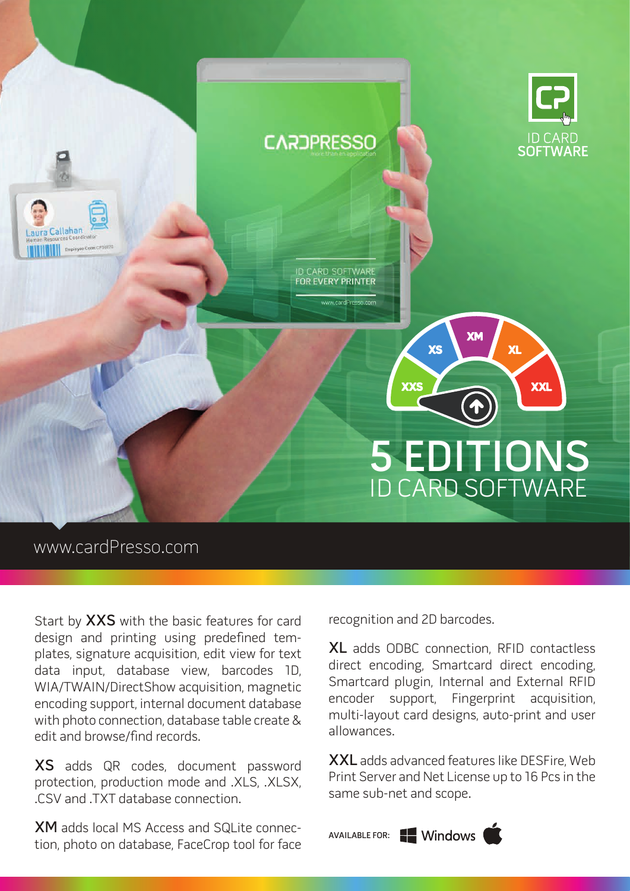

## www.cardPresso.com

Start by XXS with the basic features for card design and printing using predefined templates, signature acquisition, edit view for text data input, database view, barcodes 1D, WIA/TWAIN/DirectShow acquisition, magnetic encoding support, internal document database with photo connection, database table create & edit and browse/find records.

XS adds QR codes, document password protection, production mode and .XLS, .XLSX, .CSV and .TXT database connection.

XM adds local MS Access and SQLite connection, photo on database, FaceCrop tool for face recognition and 2D barcodes.

XL adds ODBC connection, RFID contactless direct encoding, Smartcard direct encoding, Smartcard plugin, Internal and External RFID encoder support, Fingerprint acquisition, multi-layout card designs, auto-print and user allowances.

XXL adds advanced features like DESFire, Web Print Server and Net License up to 16 Pcs in the same sub-net and scope.